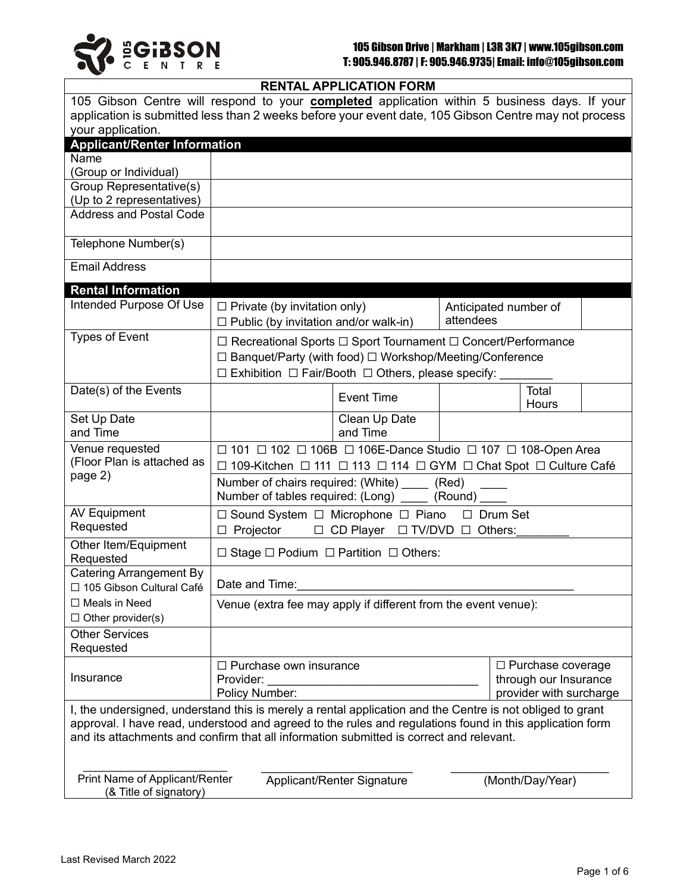

## **RENTAL APPLICATION FORM**

|                                                                                                                                                                                                     |                                                                                                                                            | <u>ILITIALAI LIVAIIVITTYINI</u> |                                                                    |                       |       |  |  |
|-----------------------------------------------------------------------------------------------------------------------------------------------------------------------------------------------------|--------------------------------------------------------------------------------------------------------------------------------------------|---------------------------------|--------------------------------------------------------------------|-----------------------|-------|--|--|
| 105 Gibson Centre will respond to your <b>completed</b> application within 5 business days. If your                                                                                                 |                                                                                                                                            |                                 |                                                                    |                       |       |  |  |
| application is submitted less than 2 weeks before your event date, 105 Gibson Centre may not process                                                                                                |                                                                                                                                            |                                 |                                                                    |                       |       |  |  |
| your application.<br><b>Applicant/Renter Information</b>                                                                                                                                            |                                                                                                                                            |                                 |                                                                    |                       |       |  |  |
| Name                                                                                                                                                                                                |                                                                                                                                            |                                 |                                                                    |                       |       |  |  |
| (Group or Individual)                                                                                                                                                                               |                                                                                                                                            |                                 |                                                                    |                       |       |  |  |
| Group Representative(s)                                                                                                                                                                             |                                                                                                                                            |                                 |                                                                    |                       |       |  |  |
| (Up to 2 representatives)                                                                                                                                                                           |                                                                                                                                            |                                 |                                                                    |                       |       |  |  |
| <b>Address and Postal Code</b>                                                                                                                                                                      |                                                                                                                                            |                                 |                                                                    |                       |       |  |  |
| Telephone Number(s)                                                                                                                                                                                 |                                                                                                                                            |                                 |                                                                    |                       |       |  |  |
| <b>Email Address</b>                                                                                                                                                                                |                                                                                                                                            |                                 |                                                                    |                       |       |  |  |
| <b>Rental Information</b>                                                                                                                                                                           |                                                                                                                                            |                                 |                                                                    |                       |       |  |  |
| Intended Purpose Of Use                                                                                                                                                                             | $\Box$ Private (by invitation only)                                                                                                        |                                 |                                                                    | Anticipated number of |       |  |  |
|                                                                                                                                                                                                     | attendees<br>$\Box$ Public (by invitation and/or walk-in)                                                                                  |                                 |                                                                    |                       |       |  |  |
| <b>Types of Event</b>                                                                                                                                                                               | $\Box$ Recreational Sports $\Box$ Sport Tournament $\Box$ Concert/Performance<br>□ Banquet/Party (with food) □ Workshop/Meeting/Conference |                                 |                                                                    |                       |       |  |  |
|                                                                                                                                                                                                     |                                                                                                                                            |                                 |                                                                    |                       |       |  |  |
|                                                                                                                                                                                                     |                                                                                                                                            |                                 | $\Box$ Exhibition $\Box$ Fair/Booth $\Box$ Others, please specify: |                       |       |  |  |
| Date(s) of the Events                                                                                                                                                                               |                                                                                                                                            | <b>Event Time</b>               |                                                                    |                       | Total |  |  |
|                                                                                                                                                                                                     |                                                                                                                                            |                                 |                                                                    |                       | Hours |  |  |
| Set Up Date                                                                                                                                                                                         |                                                                                                                                            | Clean Up Date                   |                                                                    |                       |       |  |  |
| and Time                                                                                                                                                                                            |                                                                                                                                            | and Time                        |                                                                    |                       |       |  |  |
| Venue requested                                                                                                                                                                                     | $\Box$ 101 $\Box$ 102 $\Box$ 106B $\Box$ 106E-Dance Studio $\Box$ 107 $\Box$ 108-Open Area                                                 |                                 |                                                                    |                       |       |  |  |
| (Floor Plan is attached as                                                                                                                                                                          | □ 109-Kitchen □ 111 □ 113 □ 114 □ GYM □ Chat Spot □ Culture Café                                                                           |                                 |                                                                    |                       |       |  |  |
| page 2)                                                                                                                                                                                             | Number of chairs required: (White) _____ (Red)                                                                                             |                                 |                                                                    |                       |       |  |  |
|                                                                                                                                                                                                     | Number of tables required: (Long) _____ (Round) ____                                                                                       |                                 |                                                                    |                       |       |  |  |
| <b>AV Equipment</b>                                                                                                                                                                                 | □ Sound System □ Microphone □ Piano □ Drum Set                                                                                             |                                 |                                                                    |                       |       |  |  |
| Requested                                                                                                                                                                                           | □ Projector □ CD Player □ TV/DVD □ Others:                                                                                                 |                                 |                                                                    |                       |       |  |  |
| Other Item/Equipment<br>Requested                                                                                                                                                                   | $\Box$ Stage $\Box$ Podium $\Box$ Partition $\Box$ Others:                                                                                 |                                 |                                                                    |                       |       |  |  |
| <b>Catering Arrangement By</b>                                                                                                                                                                      |                                                                                                                                            |                                 |                                                                    |                       |       |  |  |
| □ 105 Gibson Cultural Café                                                                                                                                                                          | Date and Time:                                                                                                                             |                                 |                                                                    |                       |       |  |  |
| □ Meals in Need                                                                                                                                                                                     | Venue (extra fee may apply if different from the event venue):                                                                             |                                 |                                                                    |                       |       |  |  |
| $\Box$ Other provider(s)                                                                                                                                                                            |                                                                                                                                            |                                 |                                                                    |                       |       |  |  |
| <b>Other Services</b>                                                                                                                                                                               |                                                                                                                                            |                                 |                                                                    |                       |       |  |  |
| Requested                                                                                                                                                                                           |                                                                                                                                            |                                 |                                                                    |                       |       |  |  |
|                                                                                                                                                                                                     | $\Box$ Purchase own insurance                                                                                                              |                                 | $\Box$ Purchase coverage                                           |                       |       |  |  |
| Insurance                                                                                                                                                                                           | Provider:                                                                                                                                  |                                 |                                                                    | through our Insurance |       |  |  |
|                                                                                                                                                                                                     | provider with surcharge<br>Policy Number:                                                                                                  |                                 |                                                                    |                       |       |  |  |
| I, the undersigned, understand this is merely a rental application and the Centre is not obliged to grant                                                                                           |                                                                                                                                            |                                 |                                                                    |                       |       |  |  |
| approval. I have read, understood and agreed to the rules and regulations found in this application form<br>and its attachments and confirm that all information submitted is correct and relevant. |                                                                                                                                            |                                 |                                                                    |                       |       |  |  |
|                                                                                                                                                                                                     |                                                                                                                                            |                                 |                                                                    |                       |       |  |  |
|                                                                                                                                                                                                     |                                                                                                                                            |                                 |                                                                    |                       |       |  |  |
| Print Name of Applicant/Renter<br>Applicant/Renter Signature<br>(Month/Day/Year)                                                                                                                    |                                                                                                                                            |                                 |                                                                    |                       |       |  |  |
| (& Title of signatory)                                                                                                                                                                              |                                                                                                                                            |                                 |                                                                    |                       |       |  |  |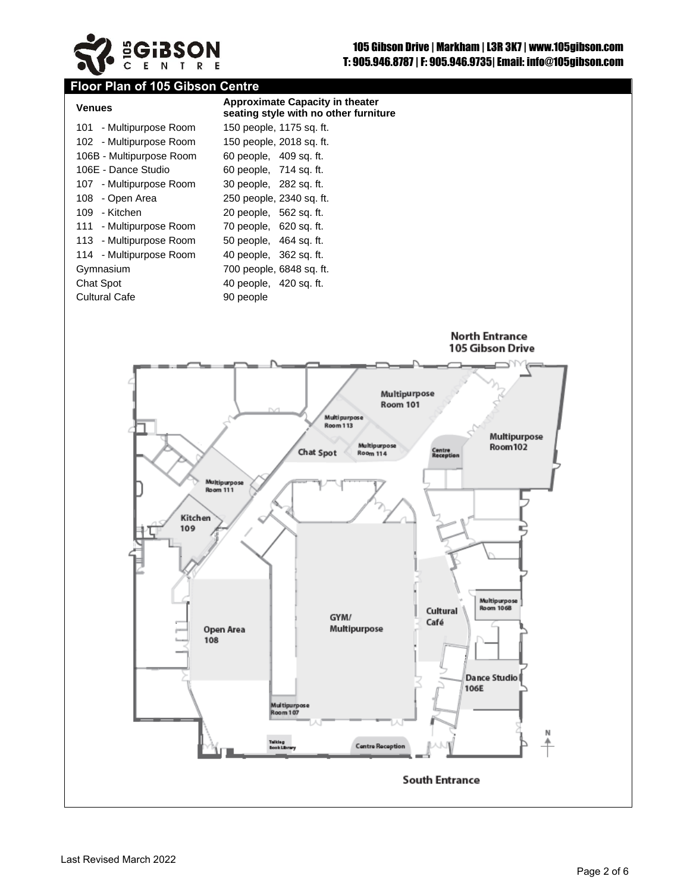

# **Floor Plan of 105 Gibson Centre**

| <b>Venues</b>            | <b>Approximate Capacity in theater</b><br>seating style with no other furniture |
|--------------------------|---------------------------------------------------------------------------------|
| 101 - Multipurpose Room  | 150 people, 1175 sq. ft.                                                        |
| 102 - Multipurpose Room  | 150 people, 2018 sq. ft.                                                        |
| 106B - Multipurpose Room | 60 people, 409 sq. ft.                                                          |
| 106E - Dance Studio      | 60 people, 714 sq. ft.                                                          |
| 107 - Multipurpose Room  | 30 people, 282 sq. ft.                                                          |
| 108 - Open Area          | 250 people, 2340 sq. ft.                                                        |
| 109 - Kitchen            | 20 people, 562 sq. ft.                                                          |
| 111 - Multipurpose Room  | 70 people, 620 sq. ft.                                                          |
| 113 - Multipurpose Room  | 50 people, 464 sq. ft.                                                          |
| 114 - Multipurpose Room  | 40 people, 362 sq. ft.                                                          |
| Gymnasium                | 700 people, 6848 sq. ft.                                                        |
| Chat Spot                | 40 people, 420 sq. ft.                                                          |
| <b>Cultural Cafe</b>     | 90 people                                                                       |

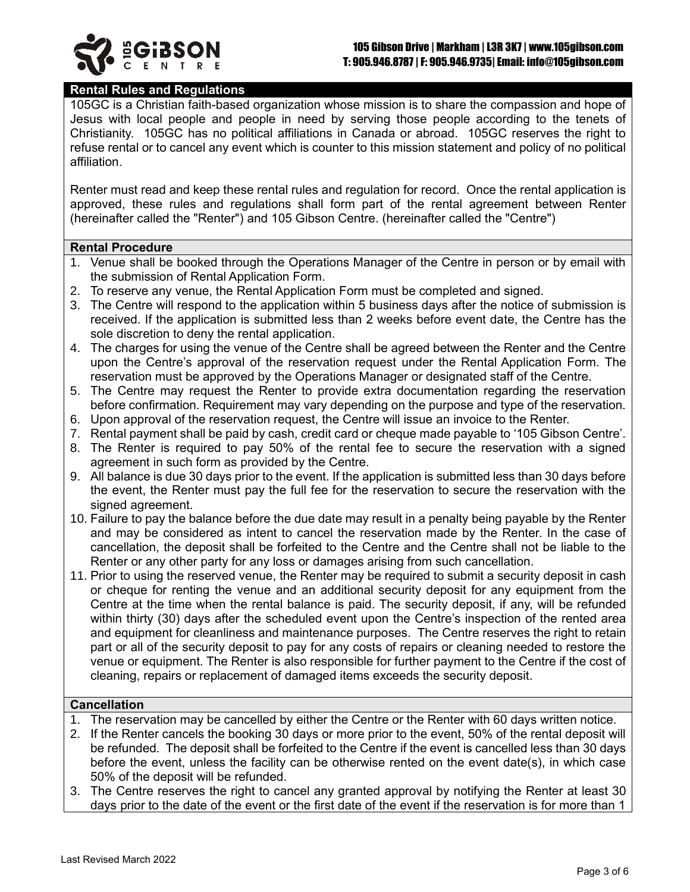

### **Rental Rules and Regulations**

105GC is a Christian faith-based organization whose mission is to share the compassion and hope of Jesus with local people and people in need by serving those people according to the tenets of Christianity. 105GC has no political affiliations in Canada or abroad. 105GC reserves the right to refuse rental or to cancel any event which is counter to this mission statement and policy of no political affiliation.

Renter must read and keep these rental rules and regulation for record. Once the rental application is approved, these rules and regulations shall form part of the rental agreement between Renter (hereinafter called the "Renter") and 105 Gibson Centre. (hereinafter called the "Centre")

#### **Rental Procedure**

- 1. Venue shall be booked through the Operations Manager of the Centre in person or by email with the submission of Rental Application Form.
- 2. To reserve any venue, the Rental Application Form must be completed and signed.
- 3. The Centre will respond to the application within 5 business days after the notice of submission is received. If the application is submitted less than 2 weeks before event date, the Centre has the sole discretion to deny the rental application.
- 4. The charges for using the venue of the Centre shall be agreed between the Renter and the Centre upon the Centre's approval of the reservation request under the Rental Application Form. The reservation must be approved by the Operations Manager or designated staff of the Centre.
- 5. The Centre may request the Renter to provide extra documentation regarding the reservation before confirmation. Requirement may vary depending on the purpose and type of the reservation.
- 6. Upon approval of the reservation request, the Centre will issue an invoice to the Renter.
- 7. Rental payment shall be paid by cash, credit card or cheque made payable to '105 Gibson Centre'.
- 8. The Renter is required to pay 50% of the rental fee to secure the reservation with a signed agreement in such form as provided by the Centre.
- 9. All balance is due 30 days prior to the event. If the application is submitted less than 30 days before the event, the Renter must pay the full fee for the reservation to secure the reservation with the signed agreement.
- 10. Failure to pay the balance before the due date may result in a penalty being payable by the Renter and may be considered as intent to cancel the reservation made by the Renter. In the case of cancellation, the deposit shall be forfeited to the Centre and the Centre shall not be liable to the Renter or any other party for any loss or damages arising from such cancellation.
- 11. Prior to using the reserved venue, the Renter may be required to submit a security deposit in cash or cheque for renting the venue and an additional security deposit for any equipment from the Centre at the time when the rental balance is paid. The security deposit, if any, will be refunded within thirty (30) days after the scheduled event upon the Centre's inspection of the rented area and equipment for cleanliness and maintenance purposes. The Centre reserves the right to retain part or all of the security deposit to pay for any costs of repairs or cleaning needed to restore the venue or equipment. The Renter is also responsible for further payment to the Centre if the cost of cleaning, repairs or replacement of damaged items exceeds the security deposit.

#### **Cancellation**

- 1. The reservation may be cancelled by either the Centre or the Renter with 60 days written notice.
- 2. If the Renter cancels the booking 30 days or more prior to the event, 50% of the rental deposit will be refunded. The deposit shall be forfeited to the Centre if the event is cancelled less than 30 days before the event, unless the facility can be otherwise rented on the event date(s), in which case 50% of the deposit will be refunded.
- 3. The Centre reserves the right to cancel any granted approval by notifying the Renter at least 30 days prior to the date of the event or the first date of the event if the reservation is for more than 1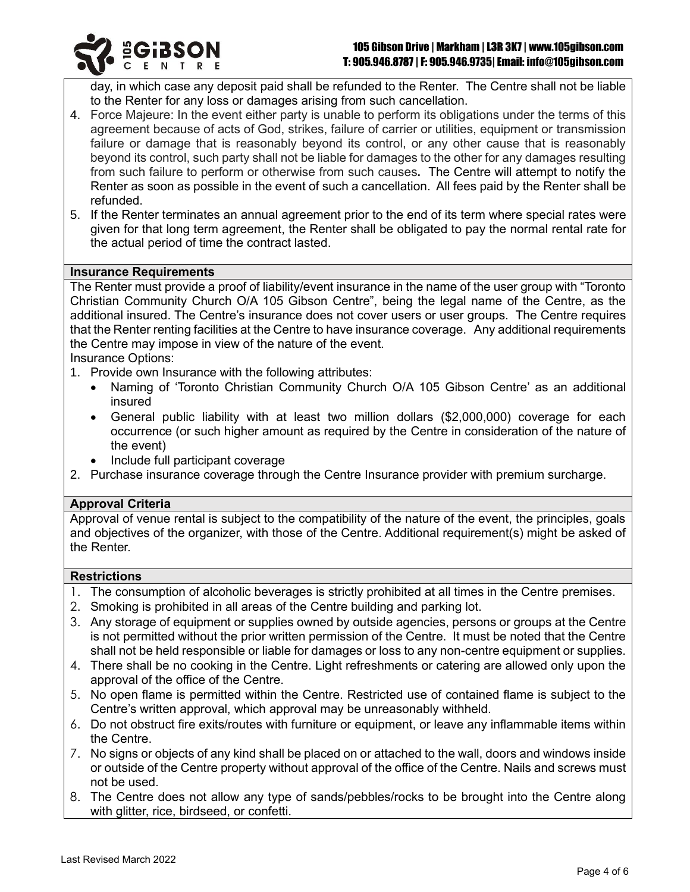day, in which case any deposit paid shall be refunded to the Renter. The Centre shall not be liable to the Renter for any loss or damages arising from such cancellation.

- 4. Force Majeure: In the event either party is unable to perform its obligations under the terms of this agreement because of acts of God, strikes, failure of carrier or utilities, equipment or transmission failure or damage that is reasonably beyond its control, or any other cause that is reasonably beyond its control, such party shall not be liable for damages to the other for any damages resulting from such failure to perform or otherwise from such causes**.** The Centre will attempt to notify the Renter as soon as possible in the event of such a cancellation. All fees paid by the Renter shall be refunded.
- 5. If the Renter terminates an annual agreement prior to the end of its term where special rates were given for that long term agreement, the Renter shall be obligated to pay the normal rental rate for the actual period of time the contract lasted.

#### **Insurance Requirements**

The Renter must provide a proof of liability/event insurance in the name of the user group with "Toronto Christian Community Church O/A 105 Gibson Centre", being the legal name of the Centre, as the additional insured. The Centre's insurance does not cover users or user groups. The Centre requires that the Renter renting facilities at the Centre to have insurance coverage. Any additional requirements the Centre may impose in view of the nature of the event.

Insurance Options:

- 1. Provide own Insurance with the following attributes:
	- Naming of 'Toronto Christian Community Church O/A 105 Gibson Centre' as an additional insured
	- General public liability with at least two million dollars (\$2,000,000) coverage for each occurrence (or such higher amount as required by the Centre in consideration of the nature of the event)
	- Include full participant coverage
- 2. Purchase insurance coverage through the Centre Insurance provider with premium surcharge.

#### **Approval Criteria**

Approval of venue rental is subject to the compatibility of the nature of the event, the principles, goals and objectives of the organizer, with those of the Centre. Additional requirement(s) might be asked of the Renter.

#### **Restrictions**

- 1. The consumption of alcoholic beverages is strictly prohibited at all times in the Centre premises.
- 2. Smoking is prohibited in all areas of the Centre building and parking lot.
- 3. Any storage of equipment or supplies owned by outside agencies, persons or groups at the Centre is not permitted without the prior written permission of the Centre. It must be noted that the Centre shall not be held responsible or liable for damages or loss to any non-centre equipment or supplies.
- 4. There shall be no cooking in the Centre. Light refreshments or catering are allowed only upon the approval of the office of the Centre.
- 5. No open flame is permitted within the Centre. Restricted use of contained flame is subject to the Centre's written approval, which approval may be unreasonably withheld.
- 6. Do not obstruct fire exits/routes with furniture or equipment, or leave any inflammable items within the Centre.
- 7. No signs or objects of any kind shall be placed on or attached to the wall, doors and windows inside or outside of the Centre property without approval of the office of the Centre. Nails and screws must not be used.
- 8. The Centre does not allow any type of sands/pebbles/rocks to be brought into the Centre along with glitter, rice, birdseed, or confetti.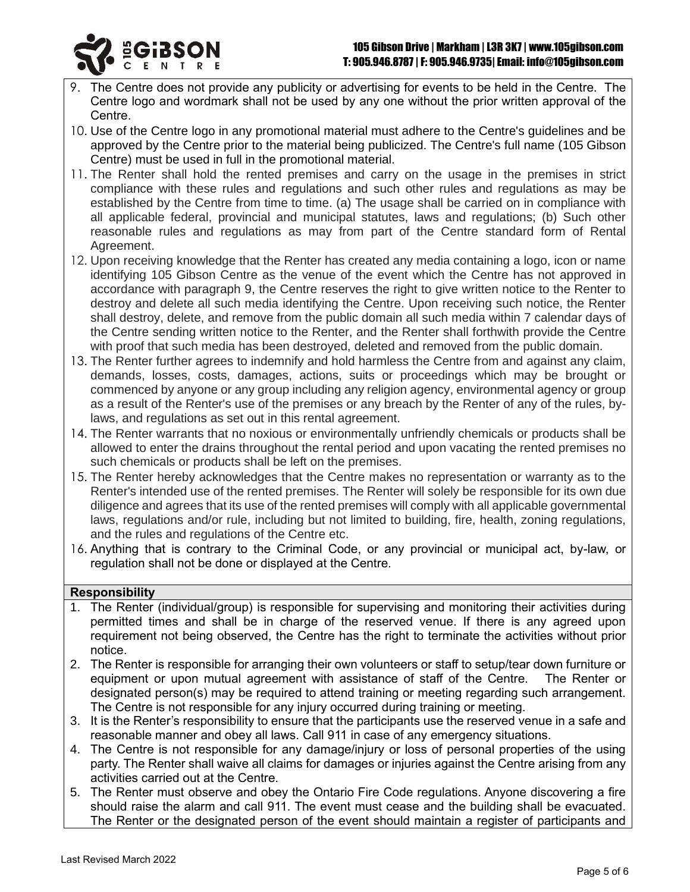

- 9. The Centre does not provide any publicity or advertising for events to be held in the Centre. The Centre logo and wordmark shall not be used by any one without the prior written approval of the Centre.
- 10. Use of the Centre logo in any promotional material must adhere to the Centre's guidelines and be approved by the Centre prior to the material being publicized. The Centre's full name (105 Gibson Centre) must be used in full in the promotional material.
- 11. The Renter shall hold the rented premises and carry on the usage in the premises in strict compliance with these rules and regulations and such other rules and regulations as may be established by the Centre from time to time. (a) The usage shall be carried on in compliance with all applicable federal, provincial and municipal statutes, laws and regulations; (b) Such other reasonable rules and regulations as may from part of the Centre standard form of Rental Agreement.
- 12. Upon receiving knowledge that the Renter has created any media containing a logo, icon or name identifying 105 Gibson Centre as the venue of the event which the Centre has not approved in accordance with paragraph 9, the Centre reserves the right to give written notice to the Renter to destroy and delete all such media identifying the Centre. Upon receiving such notice, the Renter shall destroy, delete, and remove from the public domain all such media within 7 calendar days of the Centre sending written notice to the Renter, and the Renter shall forthwith provide the Centre with proof that such media has been destroyed, deleted and removed from the public domain.
- 13. The Renter further agrees to indemnify and hold harmless the Centre from and against any claim, demands, losses, costs, damages, actions, suits or proceedings which may be brought or commenced by anyone or any group including any religion agency, environmental agency or group as a result of the Renter's use of the premises or any breach by the Renter of any of the rules, bylaws, and regulations as set out in this rental agreement.
- 14. The Renter warrants that no noxious or environmentally unfriendly chemicals or products shall be allowed to enter the drains throughout the rental period and upon vacating the rented premises no such chemicals or products shall be left on the premises.
- 15. The Renter hereby acknowledges that the Centre makes no representation or warranty as to the Renter's intended use of the rented premises. The Renter will solely be responsible for its own due diligence and agrees that its use of the rented premises will comply with all applicable governmental laws, regulations and/or rule, including but not limited to building, fire, health, zoning regulations, and the rules and regulations of the Centre etc.
- 16. Anything that is contrary to the Criminal Code, or any provincial or municipal act, by-law, or regulation shall not be done or displayed at the Centre.

## **Responsibility**

- 1. The Renter (individual/group) is responsible for supervising and monitoring their activities during permitted times and shall be in charge of the reserved venue. If there is any agreed upon requirement not being observed, the Centre has the right to terminate the activities without prior notice.
- 2. The Renter is responsible for arranging their own volunteers or staff to setup/tear down furniture or equipment or upon mutual agreement with assistance of staff of the Centre. The Renter or designated person(s) may be required to attend training or meeting regarding such arrangement. The Centre is not responsible for any injury occurred during training or meeting.
- 3. It is the Renter's responsibility to ensure that the participants use the reserved venue in a safe and reasonable manner and obey all laws. Call 911 in case of any emergency situations.
- 4. The Centre is not responsible for any damage/injury or loss of personal properties of the using party. The Renter shall waive all claims for damages or injuries against the Centre arising from any activities carried out at the Centre.
- 5. The Renter must observe and obey the Ontario Fire Code regulations. Anyone discovering a fire should raise the alarm and call 911. The event must cease and the building shall be evacuated. The Renter or the designated person of the event should maintain a register of participants and